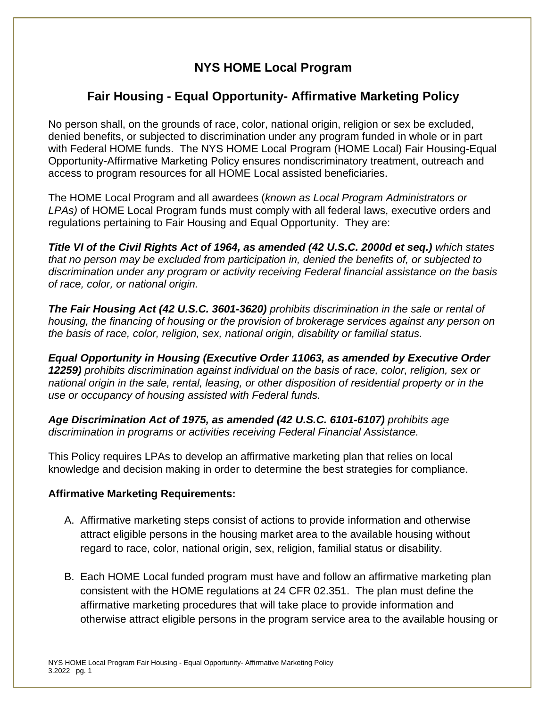## **NYS HOME Local Program**

## **Fair Housing - Equal Opportunity- Affirmative Marketing Policy**

No person shall, on the grounds of race, color, national origin, religion or sex be excluded, denied benefits, or subjected to discrimination under any program funded in whole or in part with Federal HOME funds. The NYS HOME Local Program (HOME Local) Fair Housing-Equal Opportunity-Affirmative Marketing Policy ensures nondiscriminatory treatment, outreach and access to program resources for all HOME Local assisted beneficiaries.

The HOME Local Program and all awardees (*known as Local Program Administrators or LPAs)* of HOME Local Program funds must comply with all federal laws, executive orders and regulations pertaining to Fair Housing and Equal Opportunity. They are:

*Title VI of the Civil Rights Act of 1964, as amended (42 U.S.C. 2000d et seq.) which states that no person may be excluded from participation in, denied the benefits of, or subjected to discrimination under any program or activity receiving Federal financial assistance on the basis of race, color, or national origin.*

*The Fair Housing Act (42 U.S.C. 3601-3620) prohibits discrimination in the sale or rental of housing, the financing of housing or the provision of brokerage services against any person on the basis of race, color, religion, sex, national origin, disability or familial status.*

*Equal Opportunity in Housing (Executive Order 11063, as amended by Executive Order 12259) prohibits discrimination against individual on the basis of race, color, religion, sex or national origin in the sale, rental, leasing, or other disposition of residential property or in the use or occupancy of housing assisted with Federal funds.*

*Age Discrimination Act of 1975, as amended (42 U.S.C. 6101-6107) prohibits age discrimination in programs or activities receiving Federal Financial Assistance.* 

This Policy requires LPAs to develop an affirmative marketing plan that relies on local knowledge and decision making in order to determine the best strategies for compliance.

## **Affirmative Marketing Requirements:**

- A. Affirmative marketing steps consist of actions to provide information and otherwise attract eligible persons in the housing market area to the available housing without regard to race, color, national origin, sex, religion, familial status or disability.
- B. Each HOME Local funded program must have and follow an affirmative marketing plan consistent with the HOME regulations at 24 CFR 02.351. The plan must define the affirmative marketing procedures that will take place to provide information and otherwise attract eligible persons in the program service area to the available housing or